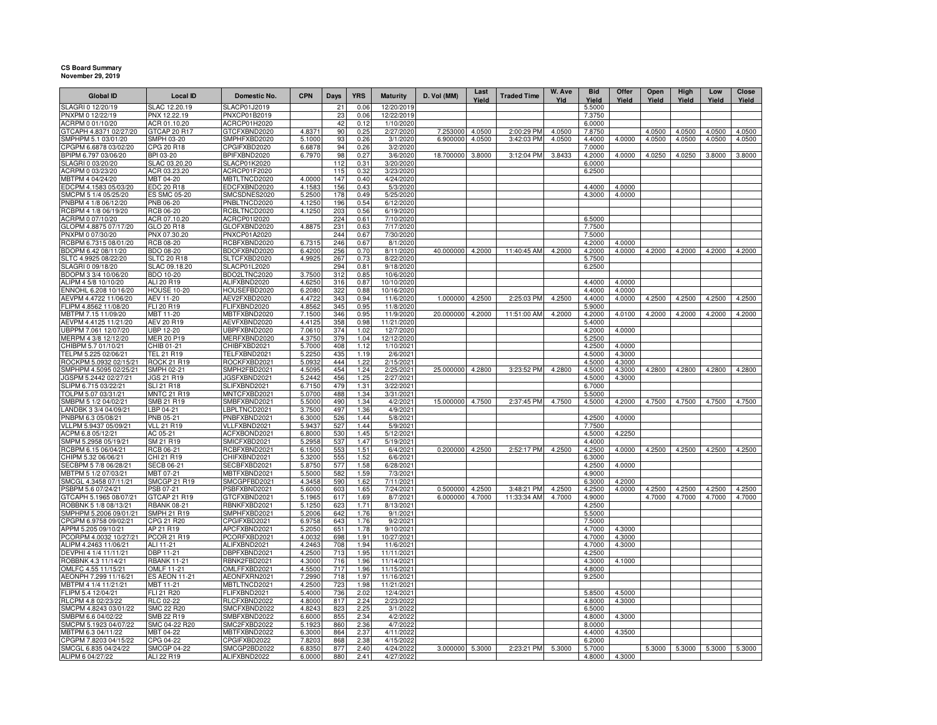## **CS Board Summary November 29, 2019**

| <b>Global ID</b>                                | <b>Local ID</b>                        | Domestic No.                 | CPN              | <b>Days</b> | <b>YRS</b>   | <b>Maturity</b>          | D. Vol (MM)     | Last<br>Yield | <b>Traded Time</b> | W. Ave<br>Yld | <b>Bid</b><br>Yield | Offer<br>Yield   | Open<br>Yield | High<br>Yield | Low<br>Yield | Close<br>Yield |
|-------------------------------------------------|----------------------------------------|------------------------------|------------------|-------------|--------------|--------------------------|-----------------|---------------|--------------------|---------------|---------------------|------------------|---------------|---------------|--------------|----------------|
| SLAGRI 0 12/20/19                               | SLAC 12.20.19                          | <b>SLACP01J2019</b>          |                  | 21          | 0.06         | 12/20/2019               |                 |               |                    |               | 5.5000              |                  |               |               |              |                |
| PNXPM 0 12/22/19                                | PNX 12.22.19                           | PNXCP01B2019                 |                  | 23          | 0.06         | 12/22/2019               |                 |               |                    |               | 7.3750              |                  |               |               |              |                |
| ACRPM 0 01/10/20<br>GTCAPH 4.8371 02/27/20      | ACR 01.10.20<br>GTCAP 20 R17           | ACRCP01H2020<br>GTCFXBND2020 | 4.8371           | 42<br>90    | 0.12<br>0.25 | 1/10/2020<br>2/27/2020   | 7.253000        | 4.0500        | 2:00:29 PM         | 4.0500        | 6.0000<br>7.8750    |                  | 4.0500        | 4.0500        | 4.0500       | 4.0500         |
| SMPHPM 5.1 03/01/20                             | SMPH 03-20                             | SMPHFXBD2020                 | 5.1000           | 93          | 0.26         | 3/1/2020                 | 6.900000        | 4.0500        | 3:42:03 PM         | 4.0500        | 4.4000              | 4.0000           | 4.0500        | 4.0500        | 4.0500       | 4.0500         |
| CPGPM 6.6878 03/02/20                           | CPG 20 R18                             | CPGIFXBD2020                 | 6.6878           | 94          | 0.26         | 3/2/2020                 |                 |               |                    |               | 7.0000              |                  |               |               |              |                |
| BPIPM 6.797 03/06/20                            | BPI 03-20                              | BPIFXBND2020                 | 6.7970           | 98          | 0.27         | 3/6/2020                 | 18.700000       | 3.8000        | 3:12:04 PM         | 3.8433        | 4.2000              | 4.0000           | 4.0250        | 4.0250        | 3.8000       | 3.8000         |
| SLAGRI 0 03/20/20                               | SLAC 03.20.20                          | SLACP01K2020                 |                  | 112         | 0.31         | 3/20/2020                |                 |               |                    |               | 6.0000              |                  |               |               |              |                |
| ACRPM 0 03/23/20                                | ACR 03.23.20                           | ACRCP01F2020                 |                  | 115         | 0.32         | 3/23/2020                |                 |               |                    |               | 6.2500              |                  |               |               |              |                |
| MBTPM 4 04/24/20<br>EDCPM 4.1583 05/03/20       | MBT 04-20<br><b>EDC 20 R18</b>         | MBTLTNCD2020<br>EDCFXBND2020 | 4.0000<br>4.1583 | 147<br>156  | 0.40<br>0.43 | 4/24/2020<br>5/3/2020    |                 |               |                    |               | 4.4000              | 4.0000           |               |               |              |                |
| SMCPM 5 1/4 05/25/20                            | ES SMC 05-20                           | SMCSDNES2020                 | 5.2500           | 178         | 0.49         | 5/25/2020                |                 |               |                    |               | 4.3000              | 4.0000           |               |               |              |                |
| PNBPM 4 1/8 06/12/20                            | <b>PNB 06-20</b>                       | PNBLTNCD2020                 | 4.1250           | 196         | 0.54         | 6/12/2020                |                 |               |                    |               |                     |                  |               |               |              |                |
| RCBPM 4 1/8 06/19/20                            | RCB 06-20                              | RCBLTNCD2020                 | 4.1250           | 203         | 0.56         | 6/19/2020                |                 |               |                    |               |                     |                  |               |               |              |                |
| ACRPM 0 07/10/20                                | ACR 07.10.20                           | ACRCP01I2020                 |                  | 224         | 0.61         | 7/10/2020                |                 |               |                    |               | 6.5000              |                  |               |               |              |                |
| GLOPM 4.8875 07/17/20                           | GLO 20 R18                             | GLOFXBND2020                 | 4.8875           | 231         | 0.63         | 7/17/2020                |                 |               |                    |               | 7.7500              |                  |               |               |              |                |
| PNXPM 0 07/30/20                                | PNX 07.30.20                           | PNXCP01A2020                 |                  | 244         | 0.67         | 7/30/2020                |                 |               |                    |               | 7.5000              |                  |               |               |              |                |
| RCBPM 6.7315 08/01/20<br>BDOPM 6.42 08/11/20    | RCB 08-20<br>BDO 08-20                 | RCBFXBND2020<br>BDOFXBND2020 | 6.7315<br>6.4200 | 246<br>256  | 0.67<br>0.70 | 8/1/2020<br>8/11/2020    | 40.000000       | 4.2000        | 11:40:45 AM        | 4.2000        | 4.2000<br>4.2000    | 4.0000<br>4.0000 | 4.2000        | 4.2000        | 4.2000       | 4.2000         |
| SLTC 4.9925 08/22/20                            | <b>SLTC 20 R18</b>                     | SLTCFXBD2020                 | 4.9925           | 267         | 0.73         | 8/22/2020                |                 |               |                    |               | 5.7500              |                  |               |               |              |                |
| SLAGRI 0 09/18/20                               | SLAC 09.18.20                          | SLACP01L2020                 |                  | 294         | 0.81         | 9/18/2020                |                 |               |                    |               | 6.2500              |                  |               |               |              |                |
| BDOPM 3 3/4 10/06/20                            | BDO 10-20                              | BDO2LTNC2020                 | 3.7500           | 312         | 0.85         | 10/6/2020                |                 |               |                    |               |                     |                  |               |               |              |                |
| ALIPM 4 5/8 10/10/20                            | ALI 20 R19                             | ALIFXBND2020                 | 4.6250           | 316         | 0.87         | 10/10/2020               |                 |               |                    |               | 4.4000              | 4.0000           |               |               |              |                |
| ENNOHL 6.208 10/16/20                           | <b>HOUSE 10-20</b>                     | HOUSEFBD2020                 | 6.2080           | 322         | 0.88         | 10/16/2020               |                 |               |                    |               | 4.4000              | 4.0000           |               |               |              |                |
| AEVPM 4.4722 11/06/20                           | AEV 11-20                              | AEV2FXBD2020                 | 4.4722           | 343         | 0.94         | 11/6/2020                | 1.000000        | 4.2500        | 2:25:03 PM         | 4.2500        | 4.4000              | 4.0000           | 4.2500        | 4.2500        | 4.2500       | 4.2500         |
| FLIPM 4.8562 11/08/20                           | FLI 20 R19                             | FLIFXBND2020                 | 4.8562           | 345         | 0.95         | 11/8/2020                |                 |               |                    |               | 5.9000              |                  |               |               |              |                |
| MBTPM 7.15 11/09/20<br>AEVPM 4.4125 11/21/20    | <b>MBT 11-20</b><br>AEV 20 R19         | MBTFXBND2020<br>AEVFXBND2020 | 7.1500<br>4.4125 | 346<br>358  | 0.95<br>0.98 | 11/9/2020<br>11/21/2020  | 20.000000       | 4.2000        | 11:51:00 AM        | 4.2000        | 4.2000<br>5.4000    | 4.0100           | 4.2000        | 4.2000        | 4.2000       | 4.2000         |
| UBPPM 7.061 12/07/20                            | <b>UBP 12-20</b>                       | UBPFXBND2020                 | 7.0610           | 374         | 1.02         | 12/7/2020                |                 |               |                    |               | 4.2000              | 4.0000           |               |               |              |                |
| MERPM 4 3/8 12/12/20                            | MER 20 P19                             | MERFXBND2020                 | 4.3750           | 379         | 1.04         | 12/12/2020               |                 |               |                    |               | 5.2500              |                  |               |               |              |                |
| CHIBPM 5.7 01/10/21                             | CHIB 01-21                             | CHIBFXBD2021                 | 5.7000           | 408         | 1.12         | 1/10/2021                |                 |               |                    |               | 4.2500              | 4.0000           |               |               |              |                |
| TELPM 5.225 02/06/2                             | <b>TEL 21 R19</b>                      | TELFXBND2021                 | 5.2250           | 435         | 1.19         | 2/6/202                  |                 |               |                    |               | 4.5000              | 4.3000           |               |               |              |                |
| ROCKPM 5.0932 02/15/21                          | <b>ROCK 21 R19</b>                     | ROCKFXBD2021                 | 5.0932           | 444         | 1.22         | 2/15/2021                |                 |               |                    |               | 4.5000              | 4.3000           |               |               |              |                |
| SMPHPM 4.5095 02/25/21                          | <b>SMPH 02-21</b>                      | SMPH2FBD2021                 | 4.5095           | 454         | 1.24         | 2/25/2021                | 25.000000       | 4.2800        | 3:23:52 PM         | 4.2800        | 4.5000              | 4.3000           | 4.2800        | 4.2800        | 4.2800       | 4.2800         |
| JGSPM 5.2442 02/27/21<br>SLIPM 6.715 03/22/21   | <b>JGS 21 R19</b><br><b>SLI 21 R18</b> | JGSFXBND2021<br>SLIFXBND2021 | 5.2442<br>6.7150 | 456<br>479  | 1.25<br>1.31 | 2/27/2021<br>3/22/2021   |                 |               |                    |               | 4.5000<br>6.7000    | 4.3000           |               |               |              |                |
| TOLPM 5.07 03/31/21                             | <b>MNTC 21 R19</b>                     | MNTCFXBD2021                 | 5.0700           | 488         | 1.34         | 3/31/2021                |                 |               |                    |               | 5.5000              |                  |               |               |              |                |
| SMBPM 5 1/2 04/02/21                            | SMB 21 R19                             | SMBFXBND2021                 | 5.5000           | 490         | 1.34         | 4/2/2021                 | 15.000000       | 4.7500        | 2:37:45 PM         | 4.7500        | 4.5000              | 4.2000           | 4.7500        | 4.7500        | 4.7500       | 4.7500         |
| ANDBK 3 3/4 04/09/21                            | BP 04-21                               | BPLTNCD2021                  | 3.7500           | 497         | 1.36         | 4/9/2021                 |                 |               |                    |               |                     |                  |               |               |              |                |
| PNBPM 6.3 05/08/21                              | PNB 05-21                              | PNBFXBND2021                 | 6.3000           | 526         | 1.44         | 5/8/2021                 |                 |               |                    |               | 4.2500              | 4.0000           |               |               |              |                |
| VLLPM 5.9437 05/09/21                           | <b>VLL 21 R19</b>                      | VLLFXBND2021                 | 5.9437           | 527         | 1.44         | 5/9/2021                 |                 |               |                    |               | 7.7500              |                  |               |               |              |                |
| ACPM 6.8 05/12/21                               | AC 05-21<br>SM 21 R19                  | ACFXBOND2021                 | 6.8000<br>5.2958 | 530         | 1.45<br>1.47 | 5/12/2021<br>5/19/2021   |                 |               |                    |               | 4.5000<br>4.4000    | 4.2250           |               |               |              |                |
| SMPM 5.2958 05/19/21<br>RCBPM 6.15 06/04/21     | RCB 06-21                              | SMICFXBD2021<br>RCBFXBND2021 | 6.1500           | 537<br>553  | 1.51         | 6/4/2021                 | 0.200000        | 4.2500        | 2:52:17 PM         | 4.2500        | 4.2500              | 4.0000           | 4.2500        | 4.2500        | 4.2500       | 4.2500         |
| CHIPM 5.32 06/06/21                             | CHI 21 R19                             | CHIFXBND2021                 | 5.3200           | 555         | 1.52         | 6/6/2021                 |                 |               |                    |               | 6.3000              |                  |               |               |              |                |
| SECBPM 5 7/8 06/28/21                           | <b>SECB 06-21</b>                      | SECBFXBD2021                 | 5.8750           | 577         | 1.58         | 6/28/2021                |                 |               |                    |               | 4.2500              | 4.0000           |               |               |              |                |
| MBTPM 5 1/2 07/03/21                            | MBT 07-21                              | MBTFXBND2021                 | 5.5000           | 582         | 1.59         | 7/3/2021                 |                 |               |                    |               | 4.9000              |                  |               |               |              |                |
| SMCGL 4.3458 07/11/21                           | <b>SMCGP 21 R19</b>                    | SMCGPFBD2021                 | 4.3458           | 590         | 1.62         | 7/11/2021                |                 |               |                    |               | 6.3000              | 4.2000           |               |               |              |                |
| PSBPM 5.6 07/24/21                              | PSB 07-21                              | PSBFXBND2021                 | 5.6000           | 603         | 1.65         | 7/24/2021                | 0.500000        | 4.2500        | 3:48:21 PM         | 4.2500        | 4.2500              | 4.0000           | 4.2500        | 4.2500        | 4.2500       | 4.2500         |
| GTCAPH 5.1965 08/07/21<br>ROBBNK 5 1/8 08/13/21 | GTCAP 21 R19<br><b>RBANK 08-21</b>     | GTCFXBND2021<br>RBNKFXBD2021 | 5.1965<br>5.1250 | 617<br>623  | 1.69<br>1.71 | 8/7/2021<br>8/13/2021    | 6.000000        | 4.7000        | 11:33:34 AM        | 4.7000        | 4.9000<br>4.2500    |                  | 4.7000        | 4.7000        | 4.7000       | 4.7000         |
| SMPHPM 5.2006 09/01/21                          | <b>SMPH 21 R19</b>                     | SMPHFXBD2021                 | 5.2006           | 642         | 1.76         | 9/1/202                  |                 |               |                    |               | 5.5000              |                  |               |               |              |                |
| CPGPM 6.9758 09/02/21                           | CPG 21 R20                             | CPGIFXBD2021                 | 6.9758           | 643         | 1.76         | 9/2/2021                 |                 |               |                    |               | 7.5000              |                  |               |               |              |                |
| APPM 5.205 09/10/21                             | AP 21 R19                              | APCFXBND2021                 | 5.2050           | 651         | 1.78         | 9/10/2021                |                 |               |                    |               | 4.7000              | 4.3000           |               |               |              |                |
| PCORPM 4.0032 10/27/21                          | PCOR 21 R19                            | PCORFXBD2021                 | 4.0032           | 698         | 1.91         | 10/27/2021               |                 |               |                    |               | 4.7000              | 4.3000           |               |               |              |                |
| ALIPM 4.2463 11/06/21                           | ALI 11-21                              | ALIFXBND2021                 | 4.2463           | 708         | 1.94         | 11/6/2021                |                 |               |                    |               | 4.7000              | 4.3000           |               |               |              |                |
| DEVPHI 4 1/4 11/11/21                           | DBP 11-21                              | DBPFXBND2021                 | 4.2500           | 713         | 1.95         | 11/11/2021               |                 |               |                    |               | 4.2500              |                  |               |               |              |                |
| ROBBNK 4.3 11/14/21<br>OMLFC 4.55 11/15/21      | <b>RBANK 11-21</b><br>OMLF 11-21       | RBNK2FBD2021<br>OMLFFXBD2021 | 4.3000<br>4.5500 | 716<br>717  | 1.96<br>1.96 | 11/14/2021<br>11/15/2021 |                 |               |                    |               | 4.3000<br>4.8000    | 4.1000           |               |               |              |                |
| AEONPH 7.299 11/16/21                           | <b>ES AEON 11-21</b>                   | AEONFXRN2021                 | 7.2990           | 718         | 1.97         | 11/16/2021               |                 |               |                    |               | 9.2500              |                  |               |               |              |                |
| MBTPM 4 1/4 11/21/21                            | MBT 11-21                              | MBTLTNCD2021                 | 4.2500           | 723         | 1.98         | 11/21/2021               |                 |               |                    |               |                     |                  |               |               |              |                |
| FLIPM 5.4 12/04/21                              | FLI 21 R20                             | FLIFXBND2021                 | 5.4000           | 736         | 2.02         | 12/4/2021                |                 |               |                    |               | 5.8500              | 4.5000           |               |               |              |                |
| RLCPM 4.8 02/23/22                              | RLC 02-22                              | RLCFXBND2022                 | 4.8000           | 817         | 2.24         | 2/23/2022                |                 |               |                    |               | 4.8000              | 4.3000           |               |               |              |                |
| SMCPM 4.8243 03/01/22                           | <b>SMC 22 R20</b>                      | SMCFXBND2022                 | 4.8243           | 823         | 2.25         | 3/1/2022                 |                 |               |                    |               | 6,5000              |                  |               |               |              |                |
| SMBPM 6.6 04/02/22                              | SMB 22 R19                             | SMBFXBND2022                 | 6.6000           | 855         | 2.34         | 4/2/2022                 |                 |               |                    |               | 4.8000              | 4.3000           |               |               |              |                |
| SMCPM 5.1923 04/07/22<br>MBTPM 6.3 04/11/22     | SMC 04-22 R20<br>MBT 04-22             | SMC2FXBD2022<br>MBTFXBND2022 | 5.1923<br>6.3000 | 860<br>864  | 2.36<br>2.37 | 4/7/2022<br>4/11/2022    |                 |               |                    |               | 8.0000<br>4.4000    | 4.3500           |               |               |              |                |
| CPGPM 7.8203 04/15/22                           | CPG 04-22                              | CPGIFXBD2022                 | 7.8203           | 868         | 2.38         | 4/15/2022                |                 |               |                    |               | 6.2000              |                  |               |               |              |                |
| SMCGL 6.835 04/24/22                            | <b>SMCGP 04-22</b>                     | SMCGP2BD2022                 | 6.8350           | 877         | 2.40         | 4/24/2022                | 3.000000 5.3000 |               | 2:23:21 PM         | 5.3000        | 5.7000              |                  | 5.3000        | 5.3000        | 5.3000       | 5.3000         |
| ALIPM 6 04/27/22                                | ALI 22 R19                             | ALIFXBND2022                 | 6.0000           | 880         | 2.41         | 4/27/2022                |                 |               |                    |               | 4.8000              | 4.3000           |               |               |              |                |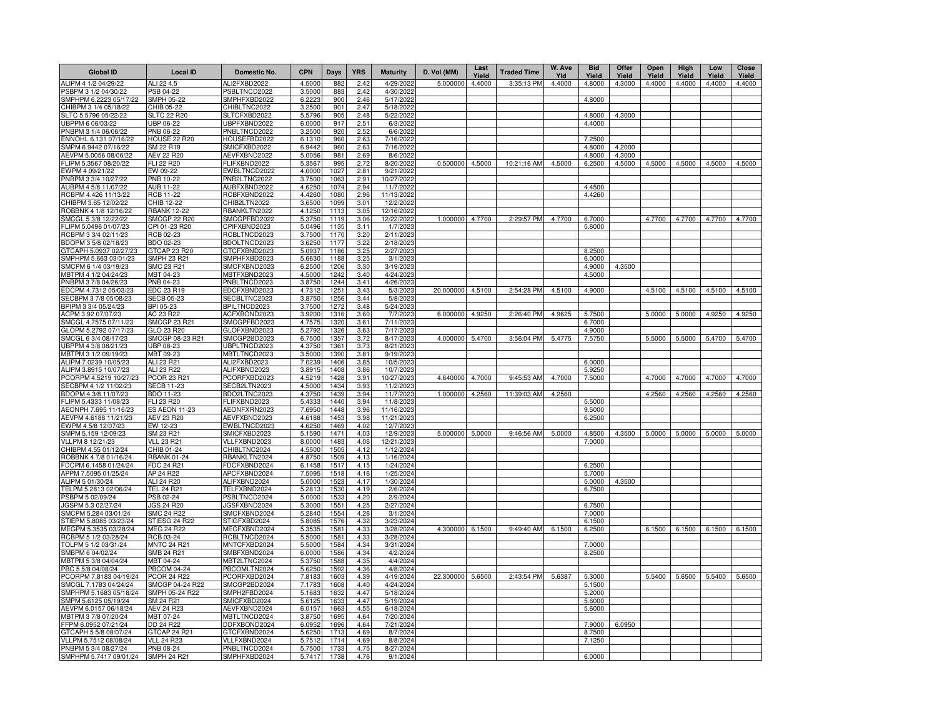| <b>Global ID</b>                               | <b>Local ID</b>                 | Domestic No.                 | <b>CPN</b>       | Days         | <b>YRS</b>   | <b>Maturity</b>         | D. Vol (MM)      | Last<br>Yield | <b>Traded Time</b> | W. Ave<br>Yld | <b>Bid</b><br>Yield | Offer<br>Yield | Open<br>Yield | High<br>Yield | Low<br>Yield | <b>Close</b><br>Yield |
|------------------------------------------------|---------------------------------|------------------------------|------------------|--------------|--------------|-------------------------|------------------|---------------|--------------------|---------------|---------------------|----------------|---------------|---------------|--------------|-----------------------|
| ALIPM 4 1/2 04/29/22                           | ALI 22 4.5                      | ALI2FXBD2022                 | 4.5000           | 882          | 2.42         | 4/29/2022               | 5.000000         | 4.4000        | 3:35:13 PM         | 4.4000        | 4.8000              | 4.3000         | 4.4000        | 4.4000        | 4.4000       | 4.4000                |
| PSBPM 3 1/2 04/30/22                           | PSB 04-22                       | PSBLTNCD2022                 | 3.5000           | 883          | 2.42         | 4/30/2022               |                  |               |                    |               |                     |                |               |               |              |                       |
| SMPHPM 6.2223 05/17/22                         | <b>SMPH 05-22</b>               | SMPHFXBD2022                 | 6.2223           | 900          | 2.46         | 5/17/2022               |                  |               |                    |               | 4.8000              |                |               |               |              |                       |
| CHIBPM 3 1/4 05/18/22                          | CHIB 05-22                      | CHIBLTNC2022                 | 3.2500           | 901          | 2.47         | 5/18/2022               |                  |               |                    |               |                     |                |               |               |              |                       |
| SLTC 5.5796 05/22/22<br>JBPPM 6 06/03/22       | <b>SLTC 22 R20</b><br>JBP 06-22 | SLTCFXBD2022<br>JBPFXBND2022 | 5.5796<br>6.0000 | 905<br>917   | 2.48<br>2.51 | 5/22/2022<br>6/3/2022   |                  |               |                    |               | 4.8000<br>4.4000    | 4.3000         |               |               |              |                       |
| PNBPM 3 1/4 06/06/22                           | PNB 06-22                       | PNBLTNCD2022                 | 3.2500           | 920          | 2.52         | 6/6/2022                |                  |               |                    |               |                     |                |               |               |              |                       |
| ENNOHL 6.131 07/16/22                          | <b>HOUSE 22 R20</b>             | HOUSEFBD2022                 | 6.1310           | 960          | 2.63         | 7/16/2022               |                  |               |                    |               | 7.2500              |                |               |               |              |                       |
| SMPM 6.9442 07/16/22                           | SM 22 R19                       | SMICFXBD2022                 | 6.9442           | 960          | 2.63         | 7/16/2022               |                  |               |                    |               | 4.8000              | 4.2000         |               |               |              |                       |
| AEVPM 5.0056 08/06/22                          | AEV 22 R20                      | AEVFXBND2022                 | 5.0056           | 981          | 2.69         | 8/6/2022                |                  |               |                    |               | 4.8000              | 4.3000         |               |               |              |                       |
| FLIPM 5.3567 08/20/22                          | FLI 22 R20                      | FLIFXBND2022                 | 5.3567           | 995          | 2.72         | 8/20/2022               | 0.500000         | 4.5000        | 10:21:16 AM        | 4.5000        | 6.2500              | 4.5000         | 4.5000        | 4.5000        | 4.5000       | 4.5000                |
| EWPM 4 09/21/22<br>PNBPM 3 3/4 10/27/22        | EW 09-22<br>PNB 10-22           | EWBLTNCD2022<br>PNB2LTNC2022 | 4.0000<br>3.7500 | 1027<br>1063 | 2.81<br>2.91 | 9/21/2022<br>10/27/2022 |                  |               |                    |               |                     |                |               |               |              |                       |
| AUBPM 4 5/8 11/07/22                           | AUB 11-22                       | AUBFXBND2022                 | 4.6250           | 1074         | 2.94         | 11/7/2022               |                  |               |                    |               | 4.4500              |                |               |               |              |                       |
| RCBPM 4.426 11/13/22                           | <b>RCB 11-22</b>                | RCBFXBND2022                 | 4.4260           | 1080         | 2.96         | 11/13/2022              |                  |               |                    |               | 4.4260              |                |               |               |              |                       |
| CHIBPM 3.65 12/02/22                           | CHIB 12-22                      | CHIB2LTN2022                 | 3.6500           | 1099         | 3.01         | 12/2/2022               |                  |               |                    |               |                     |                |               |               |              |                       |
| ROBBNK 4 1/8 12/16/22                          | <b>RBANK 12-22</b>              | RBANKLTN2022                 | 4.1250           | 1113         | 3.05         | 12/16/2022              |                  |               |                    |               |                     |                |               |               |              |                       |
| SMCGL 5 3/8 12/22/22                           | <b>SMCGP 22 R20</b>             | SMCGPFBD2022                 | 5.3750           | 1119         | 3.06         | 12/22/2022              | 1.000000         | 4.7700        | 2:29:57 PM         | 4.7700        | 6.7000              |                | 4.7700        | 4.7700        | 4.7700       | 4.7700                |
| LIPM 5.0496 01/07/23                           | CPI 01-23 R20                   | CPIFXBND2023                 | 5.0496           | 1135         | 3.11         | 1/7/2023                |                  |               |                    |               | 5.6000              |                |               |               |              |                       |
| RCBPM 3 3/4 02/11/23<br>BDOPM 3 5/8 02/18/23   | RCB 02-23<br>BDO 02-23          | RCBLTNCD2023<br>BDOLTNCD2023 | 3.7500<br>3.6250 | 1170<br>1177 | 3.20<br>3.22 | 2/11/2023<br>2/18/202   |                  |               |                    |               |                     |                |               |               |              |                       |
| GTCAPH 5.0937 02/27/23                         | GTCAP 23 R20                    | GTCFXBND2023                 | 5.0937           | 1186         | 3.25         | 2/27/2023               |                  |               |                    |               | 8.2500              |                |               |               |              |                       |
| SMPHPM 5.663 03/01/23                          | SMPH 23 R21                     | SMPHFXBD2023                 | 5.6630           | 1188         | 3.25         | 3/1/202                 |                  |               |                    |               | 6.0000              |                |               |               |              |                       |
| SMCPM 6 1/4 03/19/23                           | SMC 23 R21                      | SMCFXBND2023                 | 6.2500           | 1206         | 3.30         | 3/19/2023               |                  |               |                    |               | 4.9000              | 4.3500         |               |               |              |                       |
| MBTPM 4 1/2 04/24/23                           | MBT 04-23                       | MBTFXBND2023                 | 4.5000           | 1242         | 3.40         | 4/24/202                |                  |               |                    |               | 4.5000              |                |               |               |              |                       |
| PNBPM 3 7/8 04/26/23                           | PNB 04-23                       | PNBLTNCD2023                 | 3.8750           | 1244         | 3.41         | 4/26/2023               |                  |               |                    |               |                     |                |               |               |              |                       |
| EDCPM 4.7312 05/03/23                          | EDC 23 R19                      | EDCFXBND2023                 | 4.7312           | 1251         | 3.43         | 5/3/2023                | 20.000000 4.5100 |               | 2:54:28 PM         | 4.5100        | 4.9000              |                | 4.5100        | 4.5100        | 4.5100       | 4.5100                |
| ECBPM 3 7/8 05/08/23<br>BPIPM 3 3/4 05/24/23   | SECB 05-23                      | SECBLTNC2023                 | 3.8750<br>3.7500 | 1256<br>1272 | 3.44         | 5/8/202                 |                  |               |                    |               |                     |                |               |               |              |                       |
| ACPM 3.92 07/07/23                             | BPI 05-23<br>AC 23 R22          | BPILTNCD2023<br>ACFXBOND2023 | 3.9200           | 1316         | 3.48<br>3.60 | 5/24/2023<br>7/7/2023   | 6.000000 4.9250  |               | 2:26:40 PM         | 4.9625        | 5.7500              |                | 5.0000        | 5.0000        | 4.9250       | 4.9250                |
| SMCGL 4.7575 07/11/23                          | <b>SMCGP 23 R21</b>             | SMCGPFBD2023                 | 4.7575           | 1320         | 3.61         | 7/11/2023               |                  |               |                    |               | 6.7000              |                |               |               |              |                       |
| GLOPM 5.2792 07/17/23                          | GLO 23 R20                      | GLOFXBND2023                 | 5.2792           | 1326         | 3.63         | 7/17/2023               |                  |               |                    |               | 4.9000              |                |               |               |              |                       |
| SMCGL 6 3/4 08/17/23                           | SMCGP 08-23 R21                 | SMCGP2BD2023                 | 6.7500           | 1357         | 3.72         | 8/17/2023               | 4.000000 5.4700  |               | 3:56:04 PM         | 5.4775        | 7.5750              |                | 5.5000        | 5.5000        | 5.4700       | 5.4700                |
| UBPPM 4 3/8 08/21/23                           | <b>UBP 08-23</b>                | UBPLTNCD2023                 | 4.3750           | 1361         | 3.73         | 8/21/2023               |                  |               |                    |               |                     |                |               |               |              |                       |
| MBTPM 3 1/2 09/19/23                           | MBT 09-23                       | MBTLTNCD2023                 | 3.5000           | 1390         | 3.81         | 9/19/2023               |                  |               |                    |               |                     |                |               |               |              |                       |
| ALIPM 7.0239 10/05/23<br>ALIPM 3.8915 10/07/23 | ALI 23 R21<br>ALI 23 R22        | ALI2FXBD2023<br>ALIFXBND2023 | 7.0239<br>3.8915 | 1406<br>1408 | 3.85<br>3.86 | 10/5/2023<br>10/7/2023  |                  |               |                    |               | 6.0000<br>5.9250    |                |               |               |              |                       |
| PCORPM 4.5219 10/27/23                         | <b>PCOR 23 R21</b>              | PCORFXBD2023                 | 4.5219           | 1428         | 3.91         | 10/27/2023              | 4.640000         | 4.7000        | 9:45:53 AM         | 4.7000        | 7.5000              |                | 4.7000        | 4.7000        | 4.7000       | 4.7000                |
| SECBPM 4 1/2 11/02/23                          | <b>SECB 11-23</b>               | SECB2LTN2023                 | 4.5000           | 1434         | 3.93         | 11/2/2023               |                  |               |                    |               |                     |                |               |               |              |                       |
| BDOPM 4 3/8 11/07/23                           | <b>BDO 11-23</b>                | BDO2LTNC2023                 | 4.3750           | 1439         | 3.94         | 11/7/2023               | 1.000000         | 4.2560        | 11:39:03 AM        | 4.2560        |                     |                | 4.2560        | 4.2560        | 4.2560       | 4.2560                |
| FLIPM 5.4333 11/08/23                          | FLI 23 R20                      | FLIFXBND2023                 | 5.4333           | 1440         | 3.94         | 11/8/2023               |                  |               |                    |               | 5.5000              |                |               |               |              |                       |
| AEONPH 7.695 11/16/23                          | <b>ES AEON 11-23</b>            | AEONFXRN2023                 | 7.6950           | 1448         | 3.96         | 11/16/2023              |                  |               |                    |               | 9.5000              |                |               |               |              |                       |
| AEVPM 4.6188 11/21/23                          | AEV 23 R20                      | AEVFXBND2023<br>EWBLTNCD2023 | 4.6188<br>4.6250 | 1453<br>1469 | 3.98<br>4.02 | 11/21/2023<br>12/7/2023 |                  |               |                    |               | 6.2500              |                |               |               |              |                       |
| WPM 4 5/8 12/07/23<br>SMPM 5.159 12/09/23      | EW 12-23<br>SM 23 R21           | SMICFXBD2023                 | 5.1590           | 1471         | 4.03         | 12/9/2023               | 5.000000         | 5.0000        | 9:46:56 AM         | 5.0000        | 4.8500              | 4.3500         | 5.0000        | 5.0000        | 5.0000       | 5.0000                |
| VLLPM 8 12/21/23                               | <b>VLL 23 R21</b>               | VLLFXBND2023                 | 8.0000           | 1483         | 4.06         | 12/21/2023              |                  |               |                    |               | 7.0000              |                |               |               |              |                       |
| CHIBPM 4.55 01/12/24                           | CHIB 01-24                      | CHIBLTNC2024                 | 4.5500           | 1505         | 4.12         | 1/12/2024               |                  |               |                    |               |                     |                |               |               |              |                       |
| ROBBNK 4 7/8 01/16/24                          | <b>RBANK 01-24</b>              | RBANKLTN2024                 | 4.8750           | 1509         | 4.13         | 1/16/2024               |                  |               |                    |               |                     |                |               |               |              |                       |
| DCPM 6.1458 01/24/24                           | <b>FDC 24 R21</b>               | FDCFXBND2024                 | 6.1458           | 1517         | 4.15         | 1/24/2024               |                  |               |                    |               | 6.2500              |                |               |               |              |                       |
| APPM 7.5095 01/25/24                           | AP 24 R22                       | APCFXBND2024                 | 7.5095           | 1518         | 4.16         | 1/25/2024               |                  |               |                    |               | 5.7000              |                |               |               |              |                       |
| ALIPM 5 01/30/24<br>TELPM 5.2813 02/06/24      | ALI 24 R20<br><b>TEL 24 R21</b> | ALIFXBND2024<br>TELFXBND2024 | 5.0000<br>5.2813 | 1523<br>1530 | 4.17<br>4.19 | 1/30/2024<br>2/6/2024   |                  |               |                    |               | 5.0000<br>6.7500    | 4.3500         |               |               |              |                       |
| PSBPM 5 02/09/24                               | PSB 02-24                       | PSBLTNCD2024                 | 5.0000           | 1533         | 4.20         | 2/9/2024                |                  |               |                    |               |                     |                |               |               |              |                       |
| JGSPM 5.3 02/27/24                             | <b>JGS 24 R20</b>               | JGSFXBND2024                 | 5.3000           | 1551         | 4.25         | 2/27/2024               |                  |               |                    |               | 6.7500              |                |               |               |              |                       |
| SMCPM 5.284 03/01/24                           | <b>SMC 24 R22</b>               | SMCFXBND2024                 | 5.2840           | 1554         | 4.26         | 3/1/2024                |                  |               |                    |               | 7.0000              |                |               |               |              |                       |
| STIEPM 5.8085 03/23/24                         | STIESG 24 R22                   | STIGFXBD2024                 | 5.808            | 1576         | 4.32         | 3/23/2024               |                  |               |                    |               | 6.1500              |                |               |               |              |                       |
| MEGPM 5.3535 03/28/24                          | MEG 24 R22                      | MEGFXBND2024                 | 5.3535           | 1581         | 4.33         | 3/28/2024               | 4.300000         | 6.1500        | 9:49:40 AM         | 6.1500        | 6.2500              |                | 6.1500        | 6.1500        | 6.1500       | 6.1500                |
| RCBPM 5 1/2 03/28/24<br>TOLPM 5 1/2 03/31/24   | RCB 03-24<br><b>MNTC 24 R21</b> | RCBLTNCD2024<br>MNTCFXBD2024 | 5.5000<br>5.5000 | 1581<br>1584 | 4.33<br>4.34 | 3/28/2024<br>3/31/2024  |                  |               |                    |               | 7.0000              |                |               |               |              |                       |
| SMBPM 6 04/02/24                               | SMB 24 R21                      | SMBFXBND2024                 | 6.0000           | 1586         | 4.34         | 4/2/2024                |                  |               |                    |               | 8.2500              |                |               |               |              |                       |
| MBTPM 5 3/8 04/04/24                           | MBT 04-24                       | MBT2LTNC2024                 | 5.3750           | 1588         | 4.35         | 4/4/2024                |                  |               |                    |               |                     |                |               |               |              |                       |
| PBC 5 5/8 04/08/24                             | <b>PBCOM 04-24</b>              | PBCOMLTN2024                 | 5.6250           | 1592         | 4.36         | 4/8/2024                |                  |               |                    |               |                     |                |               |               |              |                       |
| PCORPM 7.8183 04/19/24                         | <b>PCOR 24 R22</b>              | PCORFXBD2024                 | 7.8183           | 1603         | 4.39         | 4/19/2024               | 22.300000        | 5.6500        | 2:43:54 PM         | 5.6387        | 5.3000              |                | 5.5400        | 5.6500        | 5.5400       | 5.6500                |
| SMCGL 7.1783 04/24/24                          | SMCGP 04-24 R22                 | SMCGP2BD2024                 | 7.1783           | 1608         | 4.40         | 4/24/2024               |                  |               |                    |               | 5.1500              |                |               |               |              |                       |
| SMPHPM 5.1683 05/18/24                         | SMPH 05-24 R22                  | SMPH2FBD2024                 | 5.1683           | 1632         | 4.47         | 5/18/2024               |                  |               |                    |               | 5.2000              |                |               |               |              |                       |
| SMPM 5.6125 05/19/24<br>AEVPM 6.0157 06/18/24  | SM 24 R21<br><b>AEV 24 R23</b>  | SMICFXBD2024<br>AEVFXBND2024 | 5.6125<br>6.015  | 163<br>166   | 4.47<br>4.55 | 5/19/2024<br>6/18/2024  |                  |               |                    |               | 5.6000<br>5.6000    |                |               |               |              |                       |
| MBTPM 3 7/8 07/20/24                           | MBT 07-24                       | MBTLTNCD2024                 | 3.8750           | 1695         | 4.64         | 7/20/2024               |                  |               |                    |               |                     |                |               |               |              |                       |
| FPM 6.0952 07/21/24                            | DD 24 R22                       | DDFXBOND2024                 | 6.0952           | 1696         | 4.64         | 7/21/2024               |                  |               |                    |               | 7.9000              | 6.0950         |               |               |              |                       |
| GTCAPH 5 5/8 08/07/24                          | GTCAP 24 R21                    | GTCFXBND2024                 | 5.6250           | 1713         | 4.69         | 8/7/2024                |                  |               |                    |               | 8.7500              |                |               |               |              |                       |
| VLLPM 5.7512 08/08/24                          | <b>VLL 24 R23</b>               | VLLFXBND2024                 | 5.7512           | 1714         | 4.69         | 8/8/2024                |                  |               |                    |               | 7.1250              |                |               |               |              |                       |
| PNBPM 5 3/4 08/27/24                           | PNB 08-24                       | PNBLTNCD2024                 | 5.7500           | 1733         | 4.75         | 8/27/2024               |                  |               |                    |               |                     |                |               |               |              |                       |
| SMPHPM 5.7417 09/01/24                         | <b>SMPH 24 R21</b>              | SMPHFXBD2024                 | 5.7417           | 1738         | 4.76         | 9/1/2024                |                  |               |                    |               | 6.0000              |                |               |               |              |                       |